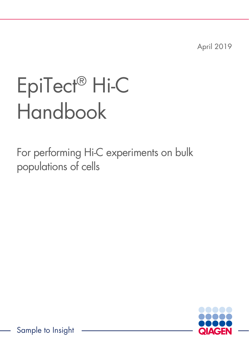April 2019

# EpiTect® Hi-C Handbook

For performing Hi-C experiments on bulk populations of cells



Sample to Insight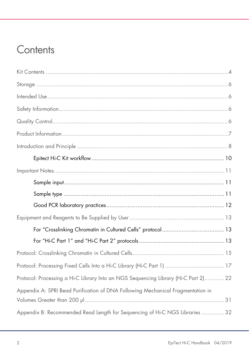## **Contents**

| Protocol: Processing Fixed Cells Into a Hi-C Library (Hi-C Part 1)  17              |
|-------------------------------------------------------------------------------------|
| Protocol: Processing a Hi-C Library Into an NGS Sequencing Library (Hi-C Part 2) 22 |
| Appendix A: SPRI Bead Purification of DNA Following Mechanical Fragmentation in     |
| Appendix B: Recommended Read Length for Sequencing of Hi-C NGS Libraries  32        |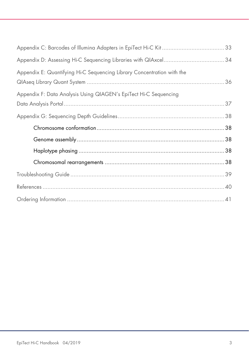| Appendix E: Quantifying Hi-C Sequencing Library Concentration with the |  |
|------------------------------------------------------------------------|--|
| Appendix F: Data Analysis Using QIAGEN's EpiTect Hi-C Sequencing       |  |
|                                                                        |  |
|                                                                        |  |
|                                                                        |  |
|                                                                        |  |
|                                                                        |  |
|                                                                        |  |
|                                                                        |  |
|                                                                        |  |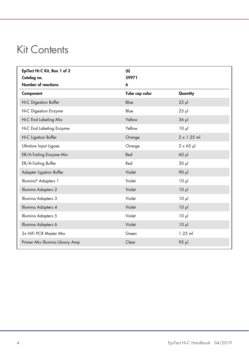## <span id="page-3-0"></span>Kit Contents

| EpiTect Hi-C Kit, Box 1 of 3     | (6)            |                    |
|----------------------------------|----------------|--------------------|
| Catalog no.                      | 59971          |                    |
| <b>Number of reactions</b>       | 6              |                    |
| Component                        | Tube cap color | Quantity           |
| Hi-C Digestion Buffer            | Blue           | $25$ $\mu$         |
| <b>Hi-C Digestion Enzyme</b>     | Blue           | $25$ $\mu$         |
| Hi-C End Labeling Mix            | Yellow         | $36$ $\mu$         |
| Hi-C End Labeling Enzyme         | Yellow         | 10 <sub>µ</sub>    |
| Hi-C Ligation Buffer             | Orange         | $2 \times 1.25$ ml |
| Ultralow Input Ligase            | Orange         | $2 \times 65$ µ    |
| ER/A-Tailing Enzyme Mix          | Red            | $60$ $\mu$         |
| ER/A-Tailing Buffer              | Red            | 30 <sub>µ</sub>    |
| Adapter Ligation Buffer          | Violet         | 90 µl              |
| Illumina <sup>®</sup> Adapters 1 | Violet         | 10 <sub>µ</sub>    |
| Illumina Adapters 2              | Violet         | 10 <sub>µ</sub>    |
| Illumina Adapters 3              | Violet         | 10 <sub>µ</sub>    |
| Illumina Adapters 4              | Violet         | $10 \mu$           |
| Illumina Adapters 5              | Violet         | 10 <sub>µ</sub>    |
| Illumina Adapters 6              | Violet         | 10 <sub>µ</sub>    |
| 2x HiFi PCR Master Mix           | Green          | $1.25$ ml          |
| Primer Mix Illumina Library Amp  | Clear          | 95 µl              |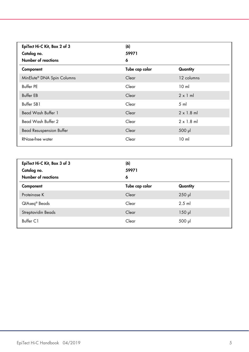| EpiTect Hi-C Kit, Box 2 of 3<br>Catalog no.<br>Number of reactions | (6)<br>59971<br>6 |                   |
|--------------------------------------------------------------------|-------------------|-------------------|
| Component                                                          | Tube cap color    | Quantity          |
| MinElute® DNA Spin Columns                                         | Clear             | 12 columns        |
| Buffer PE                                                          | Clear             | 10 <sub>m</sub>   |
| <b>Buffer EB</b>                                                   | Clear             | $2 \times 1$ ml   |
| Buffer SB1                                                         | Clear             | $5 \text{ ml}$    |
| Bead Wash Buffer 1                                                 | Clear             | $2 \times 1.8$ ml |
| Bead Wash Buffer 2                                                 | Clear             | $2 \times 1.8$ ml |
| <b>Bead Resuspension Buffer</b>                                    | Clear             | $500$ $\mu$       |
| RNase-free water                                                   | Clear             | 10 <sub>m</sub>   |

| EpiTect Hi-C Kit, Box 3 of 3<br>Catalog no.<br><b>Number of reactions</b> | (6)<br>59971<br>6 |             |
|---------------------------------------------------------------------------|-------------------|-------------|
| Component                                                                 | Tube cap color    | Quantity    |
| Proteinase K                                                              | Clear             | $250$ $\mu$ |
| QIAseq <sup>®</sup> Beads                                                 | Clear             | $2.5$ ml    |
| Streptavidin Beads                                                        | Clear             | $150$ $\mu$ |
| Buffer C1                                                                 | Clear             | $500$ $\mu$ |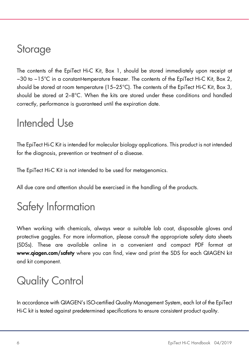## <span id="page-5-0"></span>Storage

The contents of the EpiTect Hi-C Kit, Box 1, should be stored immediately upon receipt at −30 to −15°C in a constant-temperature freezer. The contents of the EpiTect Hi-C Kit, Box 2, should be stored at room temperature (15–25°C). The contents of the EpiTect Hi-C Kit, Box 3, should be stored at 2–8°C. When the kits are stored under these conditions and handled correctly, performance is guaranteed until the expiration date.

## <span id="page-5-1"></span>Intended Use

The EpiTect Hi-C Kit is intended for molecular biology applications. This product is not intended for the diagnosis, prevention or treatment of a disease.

The EpiTect Hi-C Kit is not intended to be used for metagenomics.

All due care and attention should be exercised in the handling of the products.

## <span id="page-5-2"></span>Safety Information

When working with chemicals, always wear a suitable lab coat, disposable gloves and protective goggles. For more information, please consult the appropriate safety data sheets (SDSs). These are available online in a convenient and compact PDF format at www.qiagen.com/safety where you can find, view and print the SDS for each QIAGEN kit and kit component.

## <span id="page-5-3"></span>Quality Control

In accordance with QIAGEN's ISO-certified Quality Management System, each lot of the EpiTect Hi-C kit is tested against predetermined specifications to ensure consistent product quality.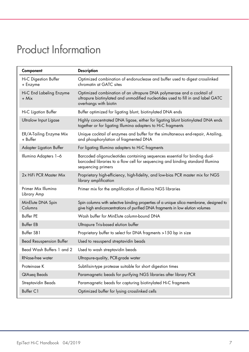## <span id="page-6-0"></span>Product Information

| Component                           | <b>Description</b>                                                                                                                                                                  |
|-------------------------------------|-------------------------------------------------------------------------------------------------------------------------------------------------------------------------------------|
| Hi-C Digestion Buffer<br>+ Enzyme   | Optimized combination of endonuclease and buffer used to digest crosslinked<br>chromatin at GATC sites                                                                              |
| Hi-C End Labeling Enzyme<br>+ Mix   | Optimized combination of an ultrapure DNA polymerase and a cocktail of<br>ultrapure biotinylated and unmodified nucleotides used to fill in and label GATC<br>overhangs with biotin |
| Hi-C Ligation Buffer                | Buffer optimized for ligating blunt, biotinylated DNA ends                                                                                                                          |
| Ultralow Input Ligase               | Highly concentrated DNA ligase, either for ligating blunt biotinylated DNA ends<br>together or for ligating Illumina adapters to Hi-C fragments                                     |
| ER/A-Tailing Enzyme Mix<br>+ Buffer | Unique cocktail of enzymes and buffer for the simultaneous end-repair, A-tailing,<br>and phosphorylation of fragmented DNA                                                          |
| Adapter Ligation Buffer             | For ligating Illumina adapters to Hi-C fragments                                                                                                                                    |
| Illumina Adapters 1-6               | Barcoded oligonucleotides containing sequences essential for binding dual-<br>barcoded libraries to a flow cell for sequencing and binding standard Illumina<br>sequencing primers  |
| 2x HiFi PCR Master Mix              | Proprietary high-efficiency, high-fidelity, and low-bias PCR master mix for NGS<br>library amplification                                                                            |
| Primer Mix Illumina<br>Library Amp  | Primer mix for the amplification of Illumina NGS libraries                                                                                                                          |
| MinElute DNA Spin<br>Columns        | Spin columns with selective binding properties of a unique silica membrane, designed to<br>give high end-concentrations of purified DNA fragments in low elution volumes            |
| <b>Buffer PF</b>                    | Wash buffer for MinElute column-bound DNA                                                                                                                                           |
| <b>Buffer EB</b>                    | Ultrapure Tris-based elution buffer                                                                                                                                                 |
| Buffer SB1                          | Proprietary buffer to select for DNA fragments >150 bp in size                                                                                                                      |
| <b>Bead Resuspension Buffer</b>     | Used to resuspend streptavidin beads                                                                                                                                                |
| Bead Wash Buffers 1 and 2           | Used to wash streptavidin beads                                                                                                                                                     |
| RNase-free water                    | Ultrapure-quality, PCR-grade water                                                                                                                                                  |
| Proteinase K                        | Subtilisin-type protease suitable for short digestion times                                                                                                                         |
| QIAseq Beads                        | Paramagnetic beads for purifying NGS libraries after library PCR                                                                                                                    |
| Streptavidin Beads                  | Paramagnetic beads for capturing biotinylated Hi-C fragments                                                                                                                        |
| Buffer C1                           | Optimized buffer for lysing crosslinked cells                                                                                                                                       |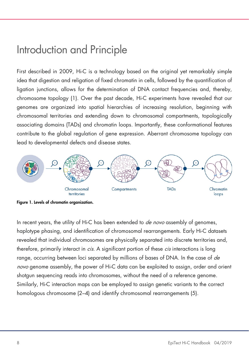## <span id="page-7-0"></span>Introduction and Principle

First described in 2009, Hi-C is a technology based on the original yet remarkably simple idea that digestion and religation of fixed chromatin in cells, followed by the quantification of ligation junctions, allows for the determination of DNA contact frequencies and, thereby, chromosome topology (1). Over the past decade, Hi-C experiments have revealed that our genomes are organized into spatial hierarchies of increasing resolution, beginning with chromosomal territories and extending down to chromosomal compartments, topologically associating domains (TADs) and chromatin loops. Importantly, these conformational features contribute to the global regulation of gene expression. Aberrant chromosome topology can lead to developmental defects and disease states.



Figure 1. Levels of chromatin organization.

In recent years, the utility of Hi-C has been extended to *de novo* assembly of genomes, haplotype phasing, and identification of chromosomal rearrangements. Early Hi-C datasets revealed that individual chromosomes are physically separated into discrete territories and, therefore, primarily interact in *cis*. A significant portion of these *cis* interactions is long range, occurring between loci separated by millions of bases of DNA. In the case of de novo genome assembly, the power of Hi-C data can be exploited to assign, order and orient shotgun sequencing reads into chromosomes, without the need of a reference genome. Similarly, Hi-C interaction maps can be employed to assign genetic variants to the correct homologous chromosome (2–4) and identify chromosomal rearrangements (5).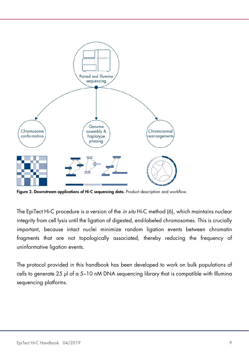

Figure 2. Downstream applications of Hi-C sequencing data. Product description and workflow.

The EpiTect Hi-C procedure is a version of the *in situ* Hi-C method (6), which maintains nuclear integrity from cell lysis until the ligation of digested, end-labeled chromosomes. This is crucially important, because intact nuclei minimize random ligation events between chromatin fragments that are not topologically associated, thereby reducing the frequency of uninformative ligation events.

The protocol provided in this handbook has been developed to work on bulk populations of cells to generate 25 µl of a 5–10 nM DNA sequencing library that is compatible with Illumina sequencing platforms.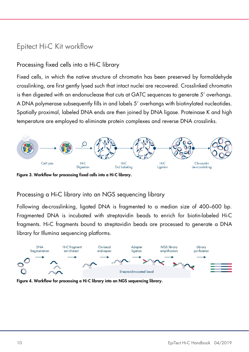## <span id="page-9-0"></span>Epitect Hi-C Kit workflow

### Processing fixed cells into a Hi-C library

Fixed cells, in which the native structure of chromatin has been preserved by formaldehyde crosslinking, are first gently lysed such that intact nuclei are recovered. Crosslinked chromatin is then digested with an endonuclease that cuts at GATC sequences to generate 5' overhangs. A DNA polymerase subsequently fills in and labels 5' overhangs with biotinylated nucleotides. Spatially proximal, labeled DNA ends are then joined by DNA ligase. Proteinase K and high temperature are employed to eliminate protein complexes and reverse DNA crosslinks.



Figure 3. Workflow for processing fixed cells into a Hi-C library.

### Processing a Hi-C library into an NGS sequencing library

Following de-crosslinking, ligated DNA is fragmented to a median size of 400–600 bp. Fragmented DNA is incubated with streptavidin beads to enrich for biotin-labeled Hi-C fragments. Hi-C fragments bound to streptavidin beads are processed to generate a DNA library for Illumina sequencing platforms.



Figure 4. Workflow for processing a Hi-C library into an NGS sequencing library.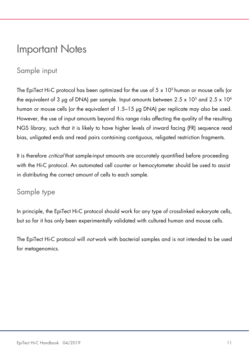## <span id="page-10-0"></span>Important Notes

## <span id="page-10-1"></span>Sample input

The EpiTect Hi-C protocol has been optimized for the use of  $5 \times 10^5$  human or mouse cells (or the equivalent of 3 µg of DNA) per sample. Input amounts between  $2.5 \times 10^5$  and  $2.5 \times 10^6$ human or mouse cells (or the equivalent of 1.5–15 µg DNA) per replicate may also be used. However, the use of input amounts beyond this range risks affecting the quality of the resulting NGS library, such that it is likely to have higher levels of inward facing (FR) sequence read bias, unligated ends and read pairs containing contiguous, religated restriction fragments.

It is therefore *critical* that sample-input amounts are accurately quantified before proceeding with the Hi-C protocol. An automated cell counter or hemocytometer should be used to assist in distributing the correct amount of cells to each sample.

### <span id="page-10-2"></span>Sample type

In principle, the EpiTect Hi-C protocol should work for any type of crosslinked eukaryote cells, but so far it has only been experimentally validated with cultured human and mouse cells.

The EpiTect Hi-C protocol will *not* work with bacterial samples and is not intended to be used for metagenomics.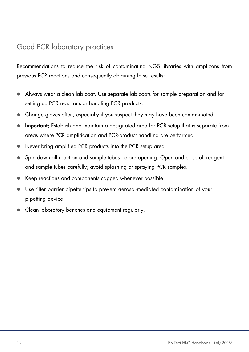### <span id="page-11-0"></span>Good PCR laboratory practices

Recommendations to reduce the risk of contaminating NGS libraries with amplicons from previous PCR reactions and consequently obtaining false results:

- Always wear a clean lab coat. Use separate lab coats for sample preparation and for setting up PCR reactions or handling PCR products.
- Change gloves often, especially if you suspect they may have been contaminated.
- **Important:** Establish and maintain a designated area for PCR setup that is separate from areas where PCR amplification and PCR-product handling are performed.
- Never bring amplified PCR products into the PCR setup area.
- Spin down all reaction and sample tubes before opening. Open and close all reagent and sample tubes carefully; avoid splashing or spraying PCR samples.
- Keep reactions and components capped whenever possible.
- Use filter barrier pipette tips to prevent aerosol-mediated contamination of your pipetting device.
- Clean laboratory benches and equipment regularly.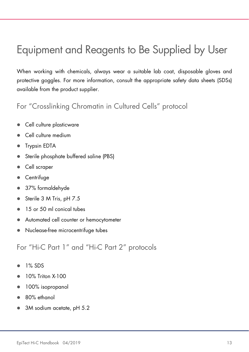## <span id="page-12-0"></span>Equipment and Reagents to Be Supplied by User

When working with chemicals, always wear a suitable lab coat, disposable gloves and protective goggles. For more information, consult the appropriate safety data sheets (SDSs) available from the product supplier.

### <span id="page-12-1"></span>For "Crosslinking Chromatin in Cultured Cells" protocol

- Cell culture plasticware
- Cell culture medium
- Trypsin EDTA
- Sterile phosphate buffered saline (PBS)
- Cell scraper
- **•** Centrifuge
- 37% formaldehyde
- Sterile 3 M Tris, pH 7.5
- <sup>15</sup> or 50 ml conical tubes
- Automated cell counter or hemocytometer
- Nuclease-free microcentrifuge tubes

<span id="page-12-2"></span>For "Hi-C Part 1" and "Hi-C Part 2" protocols

- $\bullet$  1% SDS
- 10% Triton X-100
- 100% isopropanol
- 80% ethanol
- 3M sodium acetate, pH 5.2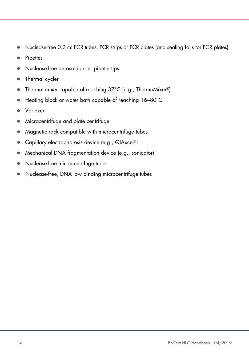- Nuclease-free 0.2 ml PCR tubes, PCR strips or PCR plates (and sealing foils for PCR plates)
- Pipettes
- Nuclease-free aerosol-barrier pipette tips
- Thermal cycler
- Thermal mixer capable of reaching 37°C (e.g., ThermoMixer®)
- Heating block or water bath capable of reaching 16-80°C
- Vortexer
- Microcentrifuge and plate centrifuge
- Magnetic rack compatible with microcentrifuge tubes
- Capillary electrophoresis device (e.g., QIAxcel®)
- Mechanical DNA fragmentation device (e.g., sonicator)
- Nuclease-free microcentrifuge tubes
- Nuclease-free, DNA low binding microcentrifuge tubes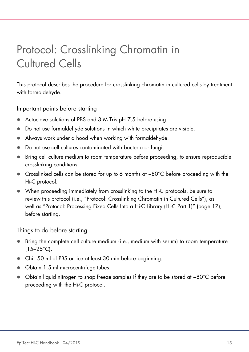## <span id="page-14-0"></span>Protocol: Crosslinking Chromatin in Cultured Cells

This protocol describes the procedure for crosslinking chromatin in cultured cells by treatment with formaldehyde.

Important points before starting

- Autoclave solutions of PBS and 3 M Tris pH 7.5 before using.
- Do not use formaldehyde solutions in which white precipitates are visible.
- Always work under a hood when working with formaldehyde.
- Do not use cell cultures contaminated with bacteria or fungi.
- Bring cell culture medium to room temperature before proceeding, to ensure reproducible crosslinking conditions.
- Crosslinked cells can be stored for up to 6 months at −80°C before proceeding with the Hi-C protocol.
- When proceeding immediately from crosslinking to the Hi-C protocols, be sure to review this protocol (i.e., "Protocol: Crosslinking Chromatin in Cultured Cells"), as well as "Protocol: Processing Fixed Cells Into a Hi-C Library (Hi-C Part 1)" (page [17\)](#page-16-0), before starting.

Things to do before starting

- Bring the complete cell culture medium (i.e., medium with serum) to room temperature  $(15-25^{\circ}C)$ .
- Chill 50 ml of PBS on ice at least 30 min before beginning.
- Obtain 1.5 ml microcentrifuge tubes.
- Obtain liquid nitrogen to snap freeze samples if they are to be stored at −80°C before proceeding with the Hi-C protocol.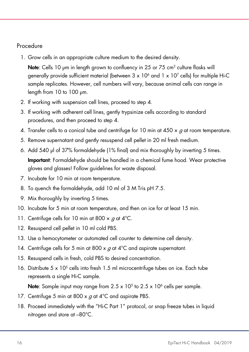### Procedure

1. Grow cells in an appropriate culture medium to the desired density.

Note: Cells 10 um in length grown to confluency in 25 or 75 cm<sup>2</sup> culture flasks will generally provide sufficient material (between  $3 \times 10^6$  and  $1 \times 10^7$  cells) for multiple Hi-C sample replicates. However, cell numbers will vary, because animal cells can range in length from 10 to 100 µm.

- 2. If working with suspension cell lines, proceed to step 4.
- 3. If working with adherent cell lines, gently trypsinize cells according to standard procedures, and then proceed to step 4.
- 4. Transfer cells to a conical tube and centrifuge for 10 min at  $450 \times q$  at room temperature.
- 5. Remove supernatant and gently resuspend cell pellet in 20 ml fresh medium.
- 6. Add 540 µl of 37% formaldehyde (1% final) and mix thoroughly by inverting 5 times. Important: Formaldehyde should be handled in a chemical fume hood. Wear protective gloves and glasses! Follow guidelines for waste disposal.
- 7. Incubate for 10 min at room temperature.
- 8. To quench the formaldehyde, add 10 ml of 3 M Tris pH 7.5.
- 9. Mix thoroughly by inverting 5 times.
- 10. Incubate for 5 min at room temperature, and then on ice for at least 15 min.
- 11. Centrifuge cells for 10 min at 800  $\times$  g at 4°C.
- 12. Resuspend cell pellet in 10 ml cold PBS.
- 13. Use a hemocytometer or automated cell counter to determine cell density.
- 14. Centrifuge cells for 5 min at 800 x  $q$  at 4<sup>°</sup>C and aspirate supernatant.
- 15. Resuspend cells in fresh, cold PBS to desired concentration.
- 16. Distribute 5 x 105 cells into fresh 1.5 ml microcentrifuge tubes on ice. Each tube represents a single Hi-C sample.

**Note:** Sample input may range from  $2.5 \times 10^5$  to  $2.5 \times 10^6$  cells per sample.

- 17. Centrifuge 5 min at 800  $\times$  g at 4°C and aspirate PBS.
- 18. Proceed immediately with the "Hi-C Part 1" protocol, or snap freeze tubes in liquid nitrogen and store at –80°C.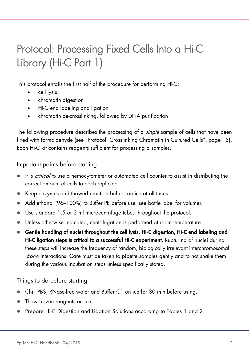## <span id="page-16-0"></span>Protocol: Processing Fixed Cells Into a Hi-C Library (Hi-C Part 1)

This protocol entails the first half of the procedure for performing Hi-C:

- cell lysis
- chromatin digestion
- Hi-C end labeling and ligation
- chromatin de-crosslinking, followed by DNA purification

The following procedure describes the processing of a *single* sample of cells that have been fixed with formaldehyde (see "Protocol: Crosslinking Chromatin in Cultured Cells", page [15\)](#page-14-0). Each Hi-C kit contains reagents sufficient for processing 6 samples.

Important points before starting

- It is *critical* to use a hemocytometer or automated cell counter to assist in distributing the correct amount of cells to each replicate.
- Keep enzymes and thawed reaction buffers on ice at all times.
- Add ethanol (96–100%) to Buffer PE before use (see bottle label for volume).
- Use standard 1.5 or 2 ml microcentrifuge tubes throughout the protocol.
- Unless otherwise indicated, centrifugation is performed at room temperature.
- Gentle handling of nuclei throughout the cell lysis, Hi-C digestion, Hi-C end labeling and Hi-C ligation steps is critical to a successful Hi-C experiment. Rupturing of nuclei during these steps will increase the frequency of random, biologically irrelevant interchromosomal (trans) interactions. Care must be taken to pipette samples gently and to not shake them during the various incubation steps unless specifically stated.

Things to do before starting

- Chill PBS, RNase-free water and Buffer C1 on ice for 30 min before using.
- Thaw frozen reagents on ice.
- Prepare Hi-C Digestion and Ligation Solutions according to Tables 1 and 2.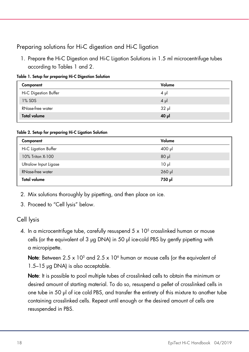### Preparing solutions for Hi-C digestion and Hi-C ligation

1. Prepare the Hi-C Digestion and Hi-C Ligation Solutions in 1.5 ml microcentrifuge tubes according to Tables 1 and 2.

| Table 1. Setup for preparing Hi-C Digestion Solution |  |
|------------------------------------------------------|--|
|------------------------------------------------------|--|

| Component             | Volume  |
|-----------------------|---------|
| Hi-C Digestion Buffer | $4 \mu$ |
| $1\%$ SDS             | $4 \mu$ |
| RNase-free water      | 32 µl   |
| <b>Total volume</b>   | 40 µ    |

#### Table 2. Setup for preparing Hi-C Ligation Solution

| Component               | Volume      |
|-------------------------|-------------|
| Hi-C Ligation Buffer    | 400 µl      |
| 10% Triton X-100        | $80$ $\mu$  |
| Ultralow Input Ligase   | $10 \mu$    |
| <b>RNase-free water</b> | $260$ $\mu$ |
| <b>Total volume</b>     | ار 750      |

2. Mix solutions thoroughly by pipetting, and then place on ice.

3. Proceed to "Cell lysis" below.

### Cell lysis

4. In a microcentrifuge tube, carefully resuspend  $5 \times 10^5$  crosslinked human or mouse cells (or the equivalent of 3 µg DNA) in 50 µl ice-cold PBS by gently pipetting with a micropipette.

**Note:** Between 2.5 x 10<sup>5</sup> and 2.5 x 10<sup>6</sup> human or mouse cells (or the equivalent of 1.5–15 µg DNA) is also acceptable.

Note: It is possible to pool multiple tubes of crosslinked cells to obtain the minimum or desired amount of starting material. To do so, resuspend a pellet of crosslinked cells in one tube in 50 µl of ice cold PBS, and transfer the entirety of this mixture to another tube containing crosslinked cells. Repeat until enough or the desired amount of cells are resuspended in PBS.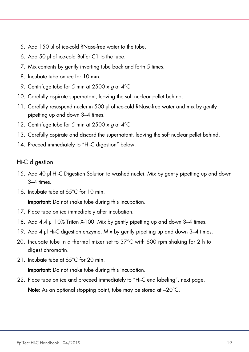- 5. Add 150 µl of ice-cold RNase-free water to the tube.
- 6. Add 50 µl of ice-cold Buffer C1 to the tube.
- 7. Mix contents by gently inverting tube back and forth 5 times.
- 8. Incubate tube on ice for 10 min.
- 9. Centrifuge tube for 5 min at 2500 x g at 4°C.
- 10. Carefully aspirate supernatant, leaving the soft nuclear pellet behind.
- 11. Carefully resuspend nuclei in 500 μl of ice-cold RNase-free water and mix by gently pipetting up and down 3–4 times.
- 12. Centrifuge tube for 5 min at 2500 x  $q$  at 4°C.
- 13. Carefully aspirate and discard the supernatant, leaving the soft nuclear pellet behind.
- 14. Proceed immediately to "Hi-C digestion" below.

#### Hi-C digestion

- 15. Add 40 µl Hi-C Digestion Solution to washed nuclei. Mix by gently pipetting up and down 3–4 times.
- 16. Incubate tube at 65°C for 10 min.

**Important**: Do not shake tube during this incubation.

- 17. Place tube on ice immediately after incubation.
- 18. Add 4.4 µl 10% Triton X-100. Mix by gently pipetting up and down 3-4 times.
- 19. Add 4 µl Hi-C digestion enzyme. Mix by gently pipetting up and down 3–4 times.
- 20. Incubate tube in a thermal mixer set to  $37^{\circ}$ C with 600 rpm shaking for 2 h to digest chromatin.
- 21. Incubate tube at 65°C for 20 min.

**Important:** Do not shake tube during this incubation.

22. Place tube on ice and proceed immediately to "Hi-C end labeling", next page. Note: As an optional stopping point, tube may be stored at −20°C.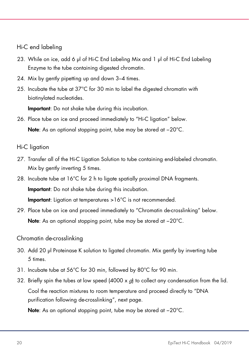### Hi-C end labeling

- 23. While on ice, add 6 µl of Hi-C End Labeling Mix and 1 µl of Hi-C End Labeling Enzyme to the tube containing digested chromatin.
- 24. Mix by gently pipetting up and down 3–4 times.
- 25. Incubate the tube at 37°C for 30 min to label the digested chromatin with biotinylated nucleotides.

Important: Do not shake tube during this incubation.

26. Place tube on ice and proceed immediately to "Hi-C ligation" below. Note: As an optional stopping point, tube may be stored at −20°C.

#### Hi-C ligation

- 27. Transfer all of the Hi-C Ligation Solution to tube containing end-labeled chromatin. Mix by gently inverting 5 times.
- 28. Incubate tube at 16°C for 2 h to ligate spatially proximal DNA fragments. Important: Do not shake tube during this incubation. Important: Ligation at temperatures >16°C is not recommended.
- 29. Place tube on ice and proceed immediately to "Chromatin de-crosslinking" below. Note: As an optional stopping point, tube may be stored at −20°C.

### Chromatin de-crosslinking

- 30. Add 20 µl Proteinase K solution to ligated chromatin. Mix gently by inverting tube 5 times.
- 31. Incubate tube at 56°C for 30 min, followed by 80°C for 90 min.
- 32. Briefly spin the tubes at low speed (4000 x  $g$ ) to collect any condensation from the lid. Cool the reaction mixtures to room temperature and proceed directly to "DNA purification following de-crosslinking", next page.

Note: As an optional stopping point, tube may be stored at −20°C.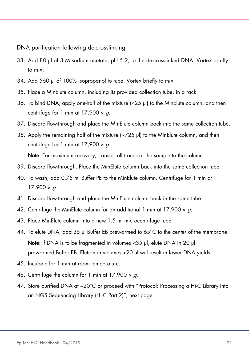DNA purification following de-crosslinking

- 33. Add 80 µl of 3 M sodium acetate, pH 5.2, to the de-crosslinked DNA. Vortex briefly to mix.
- 34. Add 560 µl of 100% isopropanol to tube. Vortex briefly to mix.
- 35. Place a MinElute column, including its provided collection tube, in a rack.
- 36. To bind DNA, apply one-half of the mixture (725 µl) to the MinElute column, and then centrifuge for 1 min at  $17,900 \times g$ .
- 37. Discard flow-through and place the MinElute column back into the same collection tube.
- 38. Apply the remaining half of the mixture (~725 µl) to the MinElute column, and then centrifuge for 1 min at  $17,900 \times g$ .

Note: For maximum recovery, transfer all traces of the sample to the column.

- 39. Discard flow-through. Place the MinElute column back into the same collection tube.
- 40. To wash, add 0.75 ml Buffer PE to the MinElute column. Centrifuge for 1 min at  $17,900 \times g$ .
- 41. Discard flow-through and place the MinElute column back in the same tube.
- 42. Centrifuge the MinElute column for an additional 1 min at 17,900  $\times$  g.
- 43. Place MinElute column into a new 1.5 ml microcentrifuge tube.
- 44. To elute DNA, add 35 µl Buffer EB prewarmed to 65 $^{\circ}$ C to the center of the membrane. Note: If DNA is to be fragmented in volumes <35 µl, elute DNA in 20 µl prewarmed Buffer EB. Elution in volumes <20 µl will result in lower DNA yields.
- 45. Incubate for 1 min at room temperature.
- 46. Centrifuge the column for 1 min at  $17,900 \times g$ .
- 47. Store purified DNA at −20°C or proceed with "Protocol: Processing a Hi-C Library Into an NGS Sequencing Library (Hi-C Part 2)", next page.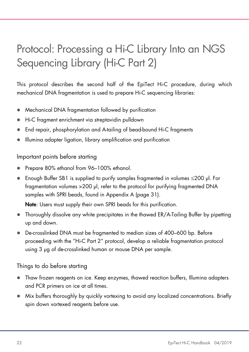## <span id="page-21-0"></span>Protocol: Processing a Hi-C Library Into an NGS Sequencing Library (Hi-C Part 2)

This protocol describes the second half of the EpiTect Hi-C procedure, during which mechanical DNA fragmentation is used to prepare Hi-C sequencing libraries:

- Mechanical DNA fragmentation followed by purification
- Hi-C fragment enrichment via streptavidin pulldown
- End repair, phosphorylation and A-tailing of bead-bound Hi-C fragments
- Illumina adapter ligation, library amplification and purification

### Important points before starting

- Prepare 80% ethanol from 96–100% ethanol.
- Enough Buffer SB1 is supplied to purify samples fragmented in volumes ≤200 µl. For fraamentation volumes >200 µl, refer to the protocol for purifying fragmented DNA samples with SPRI beads, found in Appendix A (page [31\).](#page-30-0)

Note: Users must supply their own SPRI beads for this purification.

- Thoroughly dissolve any white precipitates in the thawed ER/A-Tailing Buffer by pipetting up and down.
- De-crosslinked DNA must be fragmented to median sizes of 400–600 bp. Before proceeding with the "Hi-C Part 2" protocol, develop a reliable fragmentation protocol using 3 µg of de-crosslinked human or mouse DNA per sample.

Things to do before starting

- Thaw frozen reagents on ice. Keep enzymes, thawed reaction buffers, Illumina adapters and PCR primers on ice at all times.
- Mix buffers thoroughly by quickly vortexing to avoid any localized concentrations. Briefly spin down vortexed reagents before use.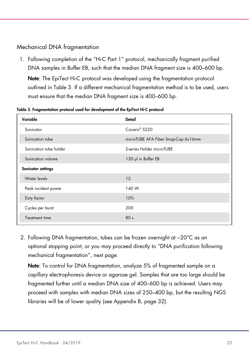### Mechanical DNA fragmentation

1. Following completion of the "Hi-C Part 1" protocol, mechanically fragment purified DNA samples in Buffer EB, such that the median DNA fragment size is 400–600 bp.

Note: The EpiTect Hi-C protocol was developed using the fragmentation protocol outlined in Table 3. If a different mechanical fragmentation method is to be used, users must ensure that the median DNA fragment size is 400–600 bp.

| Variable               | <b>Detail</b>                       |
|------------------------|-------------------------------------|
| Sonicator              | Covaris <sup>®</sup> S220           |
| Sonication tube        | microTUBE AFA Fiber Snap-Cap 6x16mm |
| Sonication tube holder | S-series Holder microTUBE           |
| Sonication volume      | 130 pl in Buffer EB                 |
| Sonicator settings     |                                     |
| Water levels           | 12                                  |
| Peak incident power    | 140 W                               |
| Duty factor            | 10%                                 |
| Cycles per burst       | 200                                 |
| Treatment time         | 80 <sub>s</sub>                     |

Table 3. Fragmentation protocol used for development of the EpiTect Hi-C protocol

2. Following DNA fragmentation, tubes can be frozen overnight at −20°C as an optional stopping point, or you may proceed directly to "DNA purification following mechanical fragmentation", next page.

Note: To control for DNA fragmentation, analyze 5% of fragmented sample on a capillary electrophoresis device or agarose gel. Samples that are too large should be fragmented further until a median DNA size of 400–600 bp is achieved. Users may proceed with samples with median DNA sizes of 250–400 bp, but the resulting NGS libraries will be of lower quality (see Appendix B, page [32\).](#page-31-0)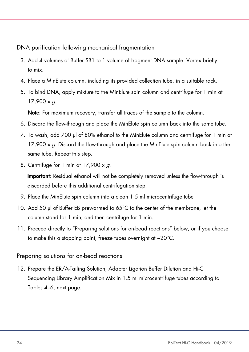DNA purification following mechanical fragmentation

- 3. Add 4 volumes of Buffer SB1 to 1 volume of fragment DNA sample. Vortex briefly to mix.
- 4. Place a MinElute column, including its provided collection tube, in a suitable rack.
- 5. To bind DNA, apply mixture to the MinElute spin column and centrifuge for 1 min at  $17.900 \times a$ .

Note: For maximum recovery, transfer all traces of the sample to the column.

- 6. Discard the flow-through and place the MinElute spin column back into the same tube.
- 7. To wash, add 700 µl of 80% ethanol to the MinElute column and centrifuge for 1 min at 17,900  $\times g$ . Discard the flow-through and place the MinElute spin column back into the same tube. Repeat this step.
- 8. Centrifuge for 1 min at  $17,900 \times g$ .

**Important**: Residual ethanol will not be completely removed unless the flow-through is discarded before this additional centrifugation step.

- 9. Place the MinElute spin column into a clean 1.5 ml microcentrifuge tube
- 10. Add 50 µl of Buffer EB prewarmed to 65°C to the center of the membrane, let the column stand for 1 min, and then centrifuge for 1 min.
- 11. Proceed directly to "Preparing solutions for on-bead reactions" below, or if you choose to make this a stopping point, freeze tubes overnight at −20°C.

Preparing solutions for on-bead reactions

12. Prepare the ER/A-Tailing Solution, Adapter Ligation Buffer Dilution and Hi-C Sequencing Library Amplification Mix in 1.5 ml microcentrifuge tubes according to Tables 4–6, next page.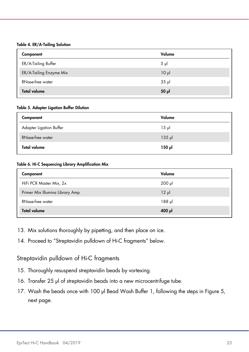#### Table 4. ER/A-Tailing Solution

| Component               | Volume   |
|-------------------------|----------|
| ER/A-Tailing Buffer     | $5 \mu$  |
| ER/A-Tailing Enzyme Mix | $10 \mu$ |
| RNase-free water        | $35$ pl  |
| <b>Total volume</b>     | $50$ pl  |

#### Table 5. Adapter Ligation Buffer Dilution

| Component               | Volume   |
|-------------------------|----------|
| Adapter Ligation Buffer | $15 \mu$ |
| <b>RNase-free water</b> | $135$ pl |
| <b>Total volume</b>     | ار 150   |

#### Table 6. Hi-C Sequencing Library Amplification Mix

| Component                       | Volume   |
|---------------------------------|----------|
| HiFi PCR Master Mix, 2x         | $200$ pl |
| Primer Mix Illumina Library Amp | $12 \mu$ |
| <b>RNase-free water</b>         | $188$ pl |
| <b>Total volume</b>             | $400$ pl |

- 13. Mix solutions thoroughly by pipetting, and then place on ice.
- 14. Proceed to "Streptavidin pulldown of Hi-C fragments" below.

### Streptavidin pulldown of Hi-C fragments

- 15. Thoroughly resuspend streptavidin beads by vortexing.
- 16. Transfer 25 µl of streptavidin beads into a new microcentrifuge tube.
- 17. Wash the beads once with 100 µl Bead Wash Buffer 1, following the steps in Figure 5, next page.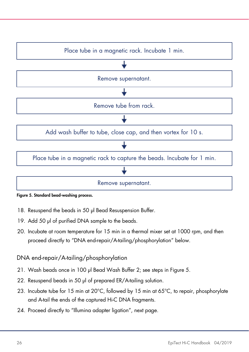

#### <span id="page-25-0"></span>Figure 5. Standard bead-washing process.

- 18. Resuspend the beads in 50 µl Bead Resuspension Buffer.
- 19. Add 50 µl of purified DNA sample to the beads.
- 20. Incubate at room temperature for 15 min in a thermal mixer set at 1000 rpm, and then proceed directly to "DNA end-repair/A-tailing/phosphorylation" below.

### DNA end-repair/A-tailing/phosphorylation

- 21. Wash beads once in 100 µl Bead Wash Buffer 2; see steps in Figure 5.
- 22. Resuspend beads in 50 µl of prepared ER/A-tailing solution.
- 23. Incubate tube for 15 min at 20°C, followed by 15 min at 65°C, to repair, phosphorylate and A-tail the ends of the captured Hi-C DNA fragments.
- 24. Proceed directly to "Illumina adapter ligation", next page.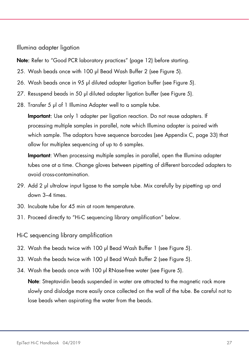Illumina adapter ligation

Note: Refer to "Good PCR laboratory practices" (page 12) before starting.

- 25. Wash beads once with 100 ul Bead Wash Buffer 2 (see Figure 5).
- 26. Wash beads once in 95 µl diluted adapter ligation buffer (see Figure 5).
- 27. Resuspend beads in 50 µl diluted adapter ligation buffer (see Figure 5).
- 28. Transfer 5 µl of 1 Illumina Adapter well to a sample tube.

Important: Use only 1 adapter per ligation reaction. Do not reuse adapters. If processing multiple samples in parallel, note which Illumina adapter is paired with which sample. The adaptors have sequence barcodes (see Appendix C, page [33\)](#page-32-0) that allow for multiplex sequencing of up to 6 samples.

Important: When processing multiple samples in parallel, open the Illumina adapter tubes one at a time. Change gloves between pipetting of different barcoded adapters to avoid cross-contamination.

- 29. Add 2 µl ultralow input ligase to the sample tube. Mix carefully by pipetting up and down 3–4 times.
- 30. Incubate tube for 45 min at room temperature.
- 31. Proceed directly to "Hi-C sequencing library amplification" below.
- Hi-C sequencing library amplification
- 32. Wash the beads twice with 100 µl Bead Wash Buffer 1 (see Figure 5).
- 33. Wash the beads twice with 100 µl Bead Wash Buffer 2 (see Figure 5).
- 34. Wash the beads once with 100 ul RNase-free water (see Figure 5).

Note: Streptavidin beads suspended in water are attracted to the magnetic rack more slowly and dislodge more easily once collected on the wall of the tube. Be careful not to lose beads when aspirating the water from the beads.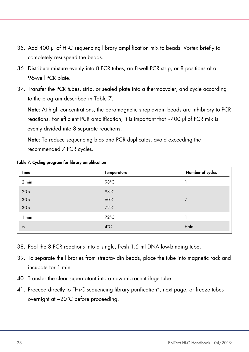- 35. Add 400 µl of Hi-C sequencing library amplification mix to beads. Vortex briefly to completely resuspend the beads.
- 36. Distribute mixture evenly into 8 PCR tubes, an 8-well PCR strip, or 8 positions of a 96-well PCR plate.
- 37. Transfer the PCR tubes, strip, or sealed plate into a thermocycler, and cycle according to the program described in Table 7.

Note: At high concentrations, the paramagnetic streptavidin beads are inhibitory to PCR reactions. For efficient PCR amplification, it is important that ~400 µl of PCR mix is evenly divided into 8 separate reactions.

Note: To reduce sequencing bias and PCR duplicates, avoid exceeding the recommended 7 PCR cycles.

| Time            | <b>Temperature</b> | Number of cycles |
|-----------------|--------------------|------------------|
| 2 min           | 98°C               |                  |
| 20 <sub>s</sub> | 98°C               |                  |
| 30 <sub>s</sub> | $60^{\circ}$ C     | 7                |
| 30 <sub>s</sub> | $72^{\circ}$ C     |                  |
| 1 min           | $72^{\circ}$ C     |                  |
| $\infty$        | $4^{\circ}$ C      | Hold             |

Table 7. Cycling program for library amplification

- 38. Pool the 8 PCR reactions into a single, fresh 1.5 ml DNA low-binding tube.
- 39. To separate the libraries from streptavidin beads, place the tube into magnetic rack and incubate for 1 min.
- 40. Transfer the clear supernatant into a new microcentrifuge tube.
- 41. Proceed directly to "Hi-C sequencing library purification", next page, or freeze tubes overnight at −20°C before proceeding.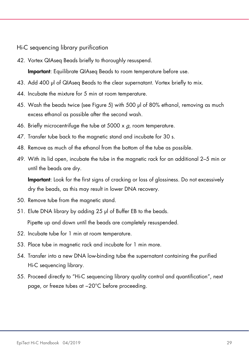Hi-C sequencing library purification

42. Vortex QIAseq Beads briefly to thoroughly resuspend.

**Important**: Equilibrate QIAsea Beads to room temperature before use.

- 43. Add 400 µl of QIAseq Beads to the clear supernatant. Vortex briefly to mix.
- 44. Incubate the mixture for 5 min at room temperature.
- 45. Wash the beads twice (see Figure 5) with 500 µl of 80% ethanol, removing as much excess ethanol as possible after the second wash.
- 46. Briefly microcentrifuge the tube at 5000  $\times g$ , room temperature.
- 47. Transfer tube back to the magnetic stand and incubate for 30 s.
- 48. Remove as much of the ethanol from the bottom of the tube as possible.
- 49. With its lid open, incubate the tube in the magnetic rack for an additional 2–5 min or until the beads are dry.

**Important**: Look for the first signs of cracking or loss of glossiness. Do not excessively dry the beads, as this may result in lower DNA recovery.

- 50. Remove tube from the magnetic stand.
- 51. Elute DNA library by adding 25 µl of Buffer EB to the beads.

Pipette up and down until the beads are completely resuspended.

- 52. Incubate tube for 1 min at room temperature.
- 53. Place tube in magnetic rack and incubate for 1 min more.
- 54. Transfer into a new DNA low-binding tube the supernatant containing the purified Hi-C sequencing library.
- 55. Proceed directly to "Hi-C sequencing library quality control and quantification", next page, or freeze tubes at -20°C before proceeding.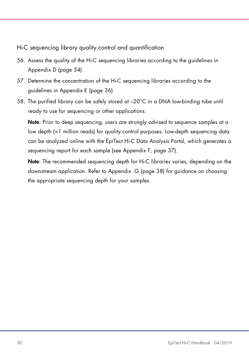Hi-C sequencing library quality control and quantification

- 56. Assess the quality of the Hi-C sequencing libraries according to the guidelines in Appendix D (page [34\)](#page-33-0).
- 57. Determine the concentration of the Hi-C sequencing libraries according to the guidelines in Appendix E (page [36\)](#page-35-0).
- 58. The purified library can be safely stored at –20°C in a DNA low-binding tube until ready to use for sequencing or other applications.

Note: Prior to deep sequencing, users are strongly advised to sequence samples at a low depth (<1 million reads) for quality control purposes. Low-depth sequencing data can be analyzed online with the EpiTect Hi-C Data Analysis Portal, which generates a sequencing report for each sample (see Appendix F, page [37\)](#page-36-0).

Note: The recommended sequencing depth for Hi-C libraries varies, depending on the downstream application. Refer to Appendix G (page [38\)](#page-37-0) for guidance on choosing the appropriate sequencing depth for your samples.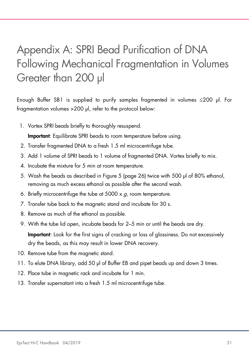## <span id="page-30-0"></span>Appendix A: SPRI Bead Purification of DNA Following Mechanical Fragmentation in Volumes Greater than 200 µl

Enough Buffer SB1 is supplied to purify samples fragmented in volumes ≤200 µl. For fragmentation volumes >200 µl, refer to the protocol below:

1. Vortex SPRI beads briefly to thoroughly resuspend.

**Important:** Equilibrate SPRI beads to room temperature before using.

- 2. Transfer fragmented DNA to a fresh 1.5 ml microcentrifuge tube.
- 3. Add 1 volume of SPRI beads to 1 volume of fragmented DNA. Vortex briefly to mix.
- 4. Incubate the mixture for 5 min at room temperature.
- 5. Wash the beads as described in Figure 5 (page [26\)](#page-25-0) twice with 500 µl of 80% ethanol, removing as much excess ethanol as possible after the second wash.
- 6. Briefly microcentrifuge the tube at  $5000 \times q$ , room temperature.
- 7. Transfer tube back to the magnetic stand and incubate for 30 s.
- 8. Remove as much of the ethanol as possible.
- 9. With the tube lid open, incubate beads for 2–5 min or until the beads are dry. **Important**: Look for the first signs of cracking or loss of glossiness. Do not excessively dry the beads, as this may result in lower DNA recovery.
- 10. Remove tube from the magnetic stand.
- 11. To elute DNA library, add 50 µl of Buffer EB and pipet beads up and down 3 times.
- 12. Place tube in magnetic rack and incubate for 1 min.
- 13. Transfer supernatant into a fresh 1.5 ml microcentrifuge tube.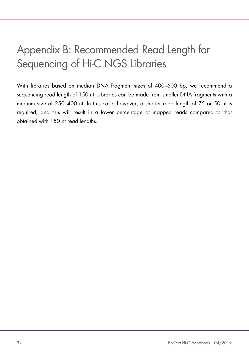## <span id="page-31-0"></span>Appendix B: Recommended Read Length for Sequencing of Hi-C NGS Libraries

With libraries based on median DNA fragment sizes of 400–600 bp, we recommend a sequencing read length of 150 nt. Libraries can be made from smaller DNA fragments with a medium size of 250–400 nt. In this case, however, a shorter read length of 75 or 50 nt is required, and this will result in a lower percentage of mapped reads compared to that obtained with 150 nt read lengths.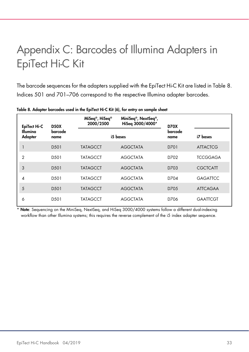## <span id="page-32-0"></span>Appendix C: Barcodes of Illumina Adapters in EpiTect Hi-C Kit

The barcode sequences for the adapters supplied with the EpiTect Hi-C Kit are listed in Table 8. Indices 501 and 701–706 correspond to the respective Illumina adapter barcodes.

| EpiTect Hi-C<br>Illumina<br>Adapter | <b>D50X</b><br>barcode<br>name | MiSeq <sup>®</sup> , HiSeq®<br>2000/2500 | MiniSeq <sup>®</sup> , NextSeq <sup>®</sup> ,<br>HiSeq 3000/4000* | <b>D70X</b>     |                 |
|-------------------------------------|--------------------------------|------------------------------------------|-------------------------------------------------------------------|-----------------|-----------------|
|                                     |                                | i5 bases                                 |                                                                   | barcode<br>name | i7 bases        |
|                                     | D <sub>50</sub> 1              | <b>TATAGCCT</b>                          | <b>AGGCTATA</b>                                                   | D701            | <b>ATTACTCG</b> |
| $\overline{2}$                      | D <sub>50</sub> 1              | <b>TATAGCCT</b>                          | <b>AGGCTATA</b>                                                   | D702            | <b>TCCGGAGA</b> |
| 3                                   | D <sub>50</sub> 1              | <b>TATAGCCT</b>                          | <b>AGGCTATA</b>                                                   | D703            | <b>CGCTCATT</b> |
| 4                                   | D <sub>50</sub> 1              | <b>TATAGCCT</b>                          | <b>AGGCTATA</b>                                                   | D704            | <b>GAGATTCC</b> |
| 5                                   | D <sub>50</sub> 1              | <b>TATAGCCT</b>                          | <b>AGGCTATA</b>                                                   | D705            | <b>ATTCAGAA</b> |
| 6                                   | D <sub>50</sub> 1              | <b>TATAGCCT</b>                          | <b>AGGCTATA</b>                                                   | D706            | <b>GAATTCGT</b> |

Table 8. Adapter barcodes used in the EpiTect Hi-C Kit (6), for entry on sample sheet

Note: Sequencing on the MiniSeq, NextSeq, and HiSeq 3000/4000 systems follow a different dual-indexing workflow than other Illumina systems; this requires the reverse complement of the i5 index adapter sequence.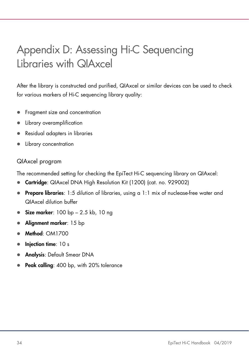## <span id="page-33-0"></span>Appendix D: Assessing Hi-C Sequencing Libraries with QIAxcel

After the library is constructed and purified, QIAxcel or similar devices can be used to check for various markers of Hi-C sequencing library quality:

- Fragment size and concentration
- Library overamplification
- Residual adapters in libraries
- Library concentration

### QIAxcel program

The recommended setting for checking the EpiTect Hi-C sequencing library on QIAxcel:

- **Cartridge:** QIAxcel DNA High Resolution Kit (1200) (cat. no. 929002)
- **Prepare libraries:** 1:5 dilution of libraries, using a 1:1 mix of nuclease-free water and QIAxcel dilution buffer
- Size marker: 100 bp 2.5 kb, 10 ng
- Alignment marker: 15 bp
- Method: OM1700
- Injection time: 10 s
- Analysis: Default Smear DNA
- Peak calling: 400 bp, with 20% tolerance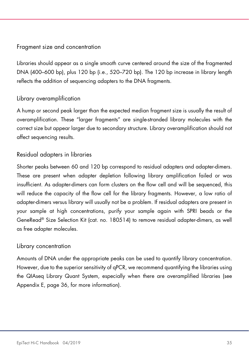### Fragment size and concentration

Libraries should appear as a single smooth curve centered around the size of the fragmented DNA (400–600 bp), plus 120 bp (i.e., 520–720 bp). The 120 bp increase in library length reflects the addition of sequencing adapters to the DNA fragments.

### Library overamplification

A hump or second peak larger than the expected median fragment size is usually the result of overamplification. These "larger fragments" are single-stranded library molecules with the correct size but appear larger due to secondary structure. Library overamplification should not affect sequencing results.

### Residual adapters in libraries

Shorter peaks between 60 and 120 bp correspond to residual adapters and adapter-dimers. These are present when adapter depletion following library amplification failed or was insufficient. As adapter-dimers can form clusters on the flow cell and will be sequenced, this will reduce the capacity of the flow cell for the library fragments. However, a low ratio of adapter-dimers versus library will usually not be a problem. If residual adapters are present in your sample at high concentrations, purify your sample again with SPRI beads or the GeneRead® Size Selection Kit (cat. no. 180514) to remove residual adapter-dimers, as well as free adapter molecules.

#### Library concentration

Amounts of DNA under the appropriate peaks can be used to quantify library concentration. However, due to the superior sensitivity of qPCR, we recommend quantifying the libraries using the QIAseq Library Quant System, especially when there are overamplified libraries (see Appendix E, page [36,](#page-35-0) for more information).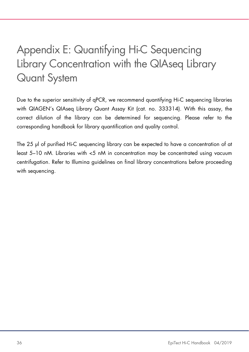## <span id="page-35-0"></span>Appendix E: Quantifying Hi-C Sequencing Library Concentration with the QIAseq Library Quant System

Due to the superior sensitivity of qPCR, we recommend quantifying Hi-C sequencing libraries with QIAGEN's QIAseq Library Quant Assay Kit (cat. no. 333314). With this assay, the correct dilution of the library can be determined for sequencing. Please refer to the corresponding handbook for library quantification and quality control.

The 25 µl of purified Hi-C sequencing library can be expected to have a concentration of at least 5–10 nM. Libraries with <5 nM in concentration may be concentrated using vacuum centrifugation. Refer to Illumina guidelines on final library concentrations before proceeding with sequencing.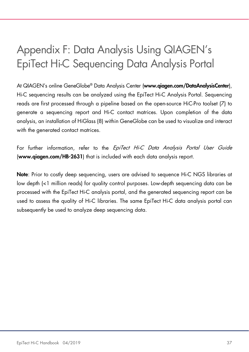## <span id="page-36-0"></span>Appendix F: Data Analysis Using QIAGEN's EpiTect Hi-C Sequencing Data Analysis Portal

At QIAGEN's online GeneGlobe® Data Analysis Center (www.qiagen.com/DataAnalysisCenter), Hi-C sequencing results can be analyzed using the EpiTect Hi-C Analysis Portal. Sequencing reads are first processed through a pipeline based on the open-source HiC-Pro toolset (7) to generate a sequencing report and Hi-C contact matrices. Upon completion of the data analysis, an installation of HiGlass (8) within GeneGlobe can be used to visualize and interact with the generated contact matrices.

For further information, refer to the EpiTect Hi-C Data Analysis Portal User Guide (www.qiagen.com/HB-2631) that is included with each data analysis report.

Note: Prior to costly deep sequencing, users are advised to sequence Hi-C NGS libraries at low depth (<1 million reads) for quality control purposes. Low-depth sequencing data can be processed with the EpiTect Hi-C analysis portal, and the generated sequencing report can be used to assess the quality of Hi-C libraries. The same EpiTect Hi-C data analysis portal can subsequently be used to analyze deep sequencing data.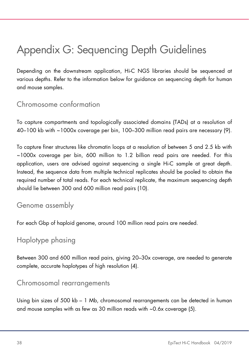## <span id="page-37-0"></span>Appendix G: Sequencing Depth Guidelines

Depending on the downstream application, Hi-C NGS libraries should be sequenced at various depths. Refer to the information below for guidance on sequencing depth for human and mouse samples.

### <span id="page-37-1"></span>Chromosome conformation

To capture compartments and topologically associated domains (TADs) at a resolution of 40–100 kb with ~1000x coverage per bin, 100–300 million read pairs are necessary (9).

To capture finer structures like chromatin loops at a resolution of between 5 and 2.5 kb with ~1000x coverage per bin, 600 million to 1.2 billion read pairs are needed. For this application, users are advised against sequencing a single Hi-C sample at great depth. Instead, the sequence data from multiple technical replicates should be pooled to obtain the required number of total reads. For each technical replicate, the maximum sequencing depth should lie between 300 and 600 million read pairs (10).

### <span id="page-37-2"></span>Genome assembly

For each Gbp of haploid genome, around 100 million read pairs are needed.

### <span id="page-37-3"></span>Haplotype phasing

Between 300 and 600 million read pairs, giving 20–30x coverage, are needed to generate complete, accurate haplotypes of high resolution (4).

### <span id="page-37-4"></span>Chromosomal rearrangements

Using bin sizes of 500 kb – 1 Mb, chromosomal rearrangements can be detected in human and mouse samples with as few as 30 million reads with ~0.6x coverage (5).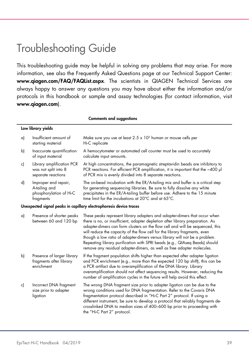## <span id="page-38-0"></span>Troubleshooting Guide

This troubleshooting guide may be helpful in solving any problems that may arise. For more information, see also the Frequently Asked Questions page at our Technical Support Center: www.qiagen.com/FAQ/FAQList.aspx. The scientists in QIAGEN Technical Services are always happy to answer any questions you may have about either the information and/or protocols in this handbook or sample and assay technologies (for contact information, visit www.qiagen.com).

|    | <b>Comments and suggestions</b>                                               |                                                                                                                                                                                                                                                                                                                                                                                                                                                                                                                                                                |  |  |  |  |
|----|-------------------------------------------------------------------------------|----------------------------------------------------------------------------------------------------------------------------------------------------------------------------------------------------------------------------------------------------------------------------------------------------------------------------------------------------------------------------------------------------------------------------------------------------------------------------------------------------------------------------------------------------------------|--|--|--|--|
|    | Low library yields                                                            |                                                                                                                                                                                                                                                                                                                                                                                                                                                                                                                                                                |  |  |  |  |
| a) | Insufficient amount of<br>starting material                                   | Make sure you use at least $2.5 \times 10^5$ human or mouse cells per<br>Hi-C replicate                                                                                                                                                                                                                                                                                                                                                                                                                                                                        |  |  |  |  |
| b) | Inaccurate quantification<br>of input material                                | A hemocytometer or automated cell counter must be used to accurately<br>calculate input amounts.                                                                                                                                                                                                                                                                                                                                                                                                                                                               |  |  |  |  |
| c) | Library amplification PCR<br>was not split into 8<br>separate reactions       | At high concentrations, the paramagnetic streptavidin beads are inhibitory to<br>PCR reactions. For efficient PCR amplification, it is important that the ~400 µl<br>of PCR mix is evenly divided into 8 separate reactions.                                                                                                                                                                                                                                                                                                                                   |  |  |  |  |
| d) | Improper end repair,<br>A-tailing and<br>phosphorylation of Hi-C<br>fragments | The on-bead incubation with the ER/A-tailing mix and buffer is a critical step<br>for generating sequencing libraries. Be sure to fully dissolve any white<br>precipitates in the ER/A-tailing buffer before use. Adhere to the 15 minute<br>time limit for the incubations at 20°C and at 65°C.                                                                                                                                                                                                                                                               |  |  |  |  |
|    |                                                                               | Unexpected signal peaks in capillary electrophoresis device traces                                                                                                                                                                                                                                                                                                                                                                                                                                                                                             |  |  |  |  |
| a) | Presence of shorter peaks<br>between 60 and 120 bp                            | These peaks represent library adapters and adapter-dimers that occur when<br>there is no, or insufficient, adapter depletion after library preparation. As<br>adapter-dimers can form clusters on the flow cell and will be sequenced, this<br>will reduce the capacity of the flow cell for the library fragments, even<br>though a low ratio of adapter-dimers versus library will not be a problem.<br>Repeating library purification with SPRI beads (e.g., QIAseq Beads) should<br>remove any residual adapter-dimers, as well as free adapter molecules. |  |  |  |  |
| b) | Presence of larger library<br>fragments after library<br>enrichment           | If the fragment population shifts higher than expected after adapter ligation<br>and PCR enrichment (e.g., more than the expected 120 bp shift), this can be<br>a PCR artifact due to overamplification of the DNA library. Library<br>overamplification should not affect sequencing results. However, reducing the<br>number of amplification cycles in the future will help avoid this effect.                                                                                                                                                              |  |  |  |  |
| c) | Incorrect DNA fragment<br>size prior to adapter<br>ligation                   | The wrong DNA fragment size prior to adapter ligation can be due to the<br>wrong conditions used for DNA fragmentation. Refer to the Covaris DNA<br>fragmentation protocol described in "Hi-C Part 2" protocol. If using a<br>different instrument, be sure to develop a protocol that reliably fragments de-<br>crosslinked DNA to median sizes of 400-600 bp prior to proceeding with<br>the "Hi-C Part 2" protocol.                                                                                                                                         |  |  |  |  |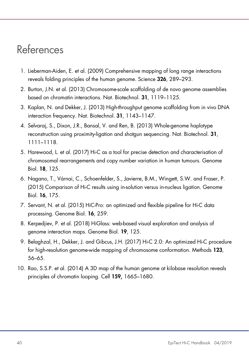## <span id="page-39-0"></span>References

- 1. Lieberman-Aiden, E. et al. (2009) Comprehensive mapping of long range interactions reveals folding principles of the human genome. Science 326, 289–293.
- 2. Burton, J.N. et al. (2013) Chromosome-scale scaffolding of de novo genome assemblies based on chromatin interactions. Nat. Biotechnol. 31, 1119–1125.
- 3. Kaplan, N. and Dekker, J. (2013) High-throughput genome scaffolding from in vivo DNA interaction frequency. Nat. Biotechnol. 31, 1143–1147.
- 4. Selvaraj, S., Dixon, J.R., Bansal, V. and Ren, B. (2013) Whole-genome haplotype reconstruction using proximity-ligation and shotgun sequencing. Nat. Biotechnol. 31, 1111–1118.
- 5. Harewood, L. et al. (2017) Hi-C as a tool for precise detection and characterisation of chromosomal rearrangements and copy number variation in human tumours. Genome Biol. 18, 125.
- 6. Nagano, T., Várnai, C., Schoenfelder, S., Javierre, B.M., Wingett, S.W. and Fraser, P. (2015) Comparison of Hi-C results using in-solution versus in-nucleus ligation. Genome Biol. 16, 175.
- 7. Servant, N. et al. (2015) HiC-Pro: an optimized and flexible pipeline for Hi-C data processing. Genome Biol. 16, 259.
- 8. Kerpedjiev, P. et al. (2018) HiGlass: web-based visual exploration and analysis of genome interaction maps. Genome Biol. 19, 125.
- 9. Belaghzal, H., Dekker, J. and Gibcus, J.H. (2017) Hi-C 2.0: An optimized Hi-C procedure for high-resolution genome-wide mapping of chromosome conformation. Methods 123, 56–65.
- 10. Rao, S.S.P. et al. (2014) A 3D map of the human genome at kilobase resolution reveals principles of chromatin looping. Cell 159, 1665–1680.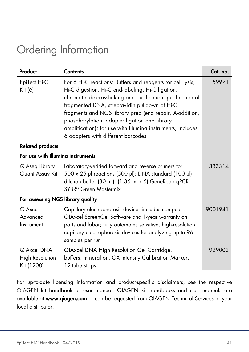## <span id="page-40-0"></span>Ordering Information

| Product                                      | <b>Contents</b>                                                                                                                                                                                                                                                                                                                                                                                                                                  | Cat. no. |  |  |  |
|----------------------------------------------|--------------------------------------------------------------------------------------------------------------------------------------------------------------------------------------------------------------------------------------------------------------------------------------------------------------------------------------------------------------------------------------------------------------------------------------------------|----------|--|--|--|
| EpiTect Hi-C<br>Kit (6)                      | For 6 Hi-C reactions: Buffers and reagents for cell lysis,<br>Hi-C digestion, Hi-C end-labeling, Hi-C ligation,<br>chromatin de-crosslinking and purification, purification of<br>fragmented DNA, streptavidin pulldown of Hi-C<br>fragments and NGS library prep (end repair, A-addition,<br>phosphorylation, adapter ligation and library<br>amplification); for use with Illumina instruments; includes<br>6 adapters with different barcodes | 59971    |  |  |  |
| <b>Related products</b>                      |                                                                                                                                                                                                                                                                                                                                                                                                                                                  |          |  |  |  |
| For use with Illumina instruments            |                                                                                                                                                                                                                                                                                                                                                                                                                                                  |          |  |  |  |
| QIAseq Library<br>Quant Assay Kit            | Laboratory-verified forward and reverse primers for<br>500 x 25 µl reactions (500 µl); DNA standard (100 µl);<br>dilution buffer (30 ml); (1.35 ml x 5) GeneRead qPCR<br>SYBR <sup>®</sup> Green Mastermix                                                                                                                                                                                                                                       | 333314   |  |  |  |
| For assessing NGS library quality            |                                                                                                                                                                                                                                                                                                                                                                                                                                                  |          |  |  |  |
| <b>QIAxcel</b><br>Advanced<br>Instrument     | Capillary electrophoresis device: includes computer,<br>QIAxcel ScreenGel Software and 1-year warranty on<br>parts and labor; fully automates sensitive, high-resolution<br>capillary electrophoresis devices for analyzing up to 96<br>samples per run                                                                                                                                                                                          | 9001941  |  |  |  |
| QIAxcel DNA<br>High Resolution<br>Kit (1200) | QIAxcel DNA High Resolution Gel Cartridge,<br>buffers, mineral oil, QX Intensity Calibration Marker,<br>12-tube strips                                                                                                                                                                                                                                                                                                                           | 929002   |  |  |  |

For up-to-date licensing information and product-specific disclaimers, see the respective QIAGEN kit handbook or user manual. QIAGEN kit handbooks and user manuals are available at [www.qiagen.com](http://www.qiagen.com/) or can be requested from QIAGEN Technical Services or your local distributor.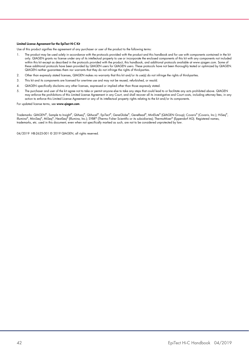#### Limited License Agreement for the EpiTect Hi-C Kit

Use of this product signifies the agreement of any purchaser or user of the product to the following terms:

- 1. The product may be used solely in accordance with the protocols provided with the product and this handbook and for use with components contained in the kit only. QIAGEN grants no license under any of its intellectual property to use or incorporate the enclosed components of this kit with any components not included within this kit except as described in the protocols provided with the product, this handbook, and additional protocols available at www.qiagen.com. Some of these additional protocols have been provided by QIAGEN users tor QIAGEN users. These protocols have not been thoroughly tested or optimized by QIAGEN.<br>QIAGEN neither guarantees them nor warrants that they do not infringe
- 2. Other than expressly stated licenses, QIAGEN makes no warranty that this kit and/or its use(s) do not infringe the rights of third-parties.
- 3. This kit and its components are licensed for one-time use and may not be reused, refurbished, or resold.
- 4. QIAGEN specifically disclaims any other licenses, expressed or implied other than those expressly stated.
- 5. The purchaser and user of the kit agree not to take or permit anyone else to take any steps that could lead to or facilitate any acts prohibited above. QIAGEN may enforce the prohibitions of this Limited License Agreement in any Court, and shall recover all its investigative and Court costs, including attorney fees, in any action to enforce this Limited License Agreement or any of its intellectual property rights relating to the kit and/or its components.

For updated license terms, see [www.qiagen.com](http://www.qiagen.com/).

Trademarks: QIAGEN®, Sample to Insighi®, QIAseq®, QIAxcel®, EpiTecr®, GeneGlobe®, GeneRead®, MinElute® (QIAGEN Group); Covaris® (Covaris, Inc.); HiSeq®,<br>Illumina®, MiniSeq®, MiSeq®, NextSeq® (Illumina, Inc.); SYBR® (Thermo trademarks, etc. used in this document, even when not specifically marked as such, are not to be considered unprotected by law.

04/2019 HB-2625-001 © 2019 QIAGEN, all rights reserved.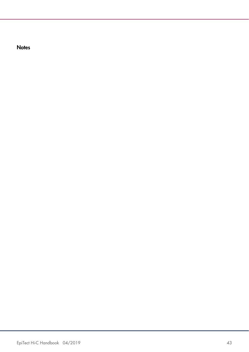**Notes**